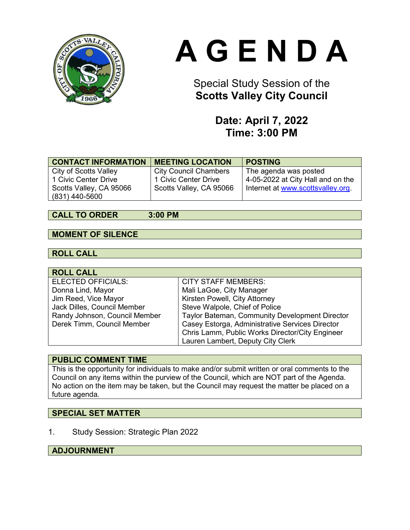

# **A G E N D A**

### Special Study Session of the **Scotts Valley City Council**

### **Date: April 7, 2022 Time: 3:00 PM**

| <b>CONTACT INFORMATION</b> | <b>MEETING LOCATION</b>      | <b>POSTING</b>                    |
|----------------------------|------------------------------|-----------------------------------|
| City of Scotts Valley      | <b>City Council Chambers</b> | The agenda was posted             |
| 1 Civic Center Drive       | 1 Civic Center Drive         | 4-05-2022 at City Hall and on the |
| Scotts Valley, CA 95066    | Scotts Valley, CA 95066      | Internet at www.scottsvalley.org. |
| (831) 440-5600             |                              |                                   |

#### **CALL TO ORDER 3:00 PM**

### **MOMENT OF SILENCE**

### **ROLL CALL**

| <b>ROLL CALL</b>              |                                                 |
|-------------------------------|-------------------------------------------------|
| <b>ELECTED OFFICIALS:</b>     | <b>CITY STAFF MEMBERS:</b>                      |
| Donna Lind, Mayor             | Mali LaGoe, City Manager                        |
| Jim Reed, Vice Mayor          | Kirsten Powell, City Attorney                   |
| Jack Dilles, Council Member   | Steve Walpole, Chief of Police                  |
| Randy Johnson, Council Member | Taylor Bateman, Community Development Director  |
| Derek Timm, Council Member    | Casey Estorga, Administrative Services Director |
|                               | Chris Lamm, Public Works Director/City Engineer |
|                               | Lauren Lambert, Deputy City Clerk               |

### **PUBLIC COMMENT TIME**

This is the opportunity for individuals to make and/or submit written or oral comments to the Council on any items within the purview of the Council, which are NOT part of the Agenda. No action on the item may be taken, but the Council may request the matter be placed on a future agenda.

### **SPECIAL SET MATTER**

1. Study Session: Strategic Plan 2022

### **ADJOURNMENT**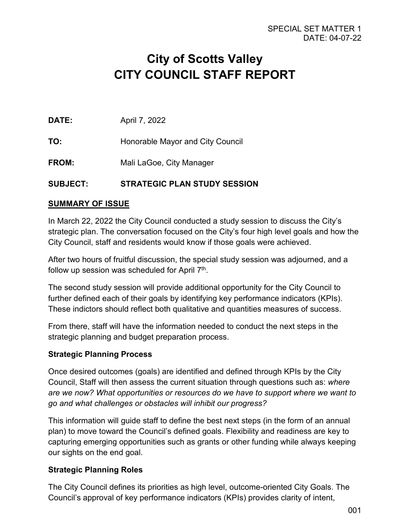## **City of Scotts Valley CITY COUNCIL STAFF REPORT**

**DATE:** April 7, 2022

**TO:** Honorable Mayor and City Council

**FROM:** Mali LaGoe, City Manager

### **SUBJECT: STRATEGIC PLAN STUDY SESSION**

### **SUMMARY OF ISSUE**

In March 22, 2022 the City Council conducted a study session to discuss the City's strategic plan. The conversation focused on the City's four high level goals and how the City Council, staff and residents would know if those goals were achieved.

After two hours of fruitful discussion, the special study session was adjourned, and a follow up session was scheduled for April  $7<sup>th</sup>$ .

The second study session will provide additional opportunity for the City Council to further defined each of their goals by identifying key performance indicators (KPIs). These indictors should reflect both qualitative and quantities measures of success.

From there, staff will have the information needed to conduct the next steps in the strategic planning and budget preparation process.

### **Strategic Planning Process**

Once desired outcomes (goals) are identified and defined through KPIs by the City Council, Staff will then assess the current situation through questions such as: *where are we now? What opportunities or resources do we have to support where we want to go and what challenges or obstacles will inhibit our progress?*

This information will guide staff to define the best next steps (in the form of an annual plan) to move toward the Council's defined goals. Flexibility and readiness are key to capturing emerging opportunities such as grants or other funding while always keeping our sights on the end goal.

### **Strategic Planning Roles**

The City Council defines its priorities as high level, outcome-oriented City Goals. The Council's approval of key performance indicators (KPIs) provides clarity of intent,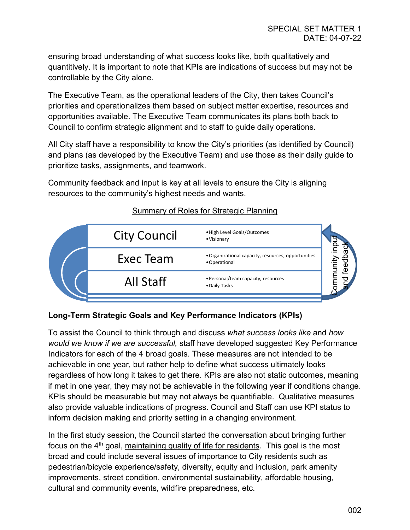ensuring broad understanding of what success looks like, both qualitatively and quantitively. It is important to note that KPIs are indications of success but may not be controllable by the City alone.

The Executive Team, as the operational leaders of the City, then takes Council's priorities and operationalizes them based on subject matter expertise, resources and opportunities available. The Executive Team communicates its plans both back to Council to confirm strategic alignment and to staff to guide daily operations.

All City staff have a responsibility to know the City's priorities (as identified by Council) and plans (as developed by the Executive Team) and use those as their daily guide to prioritize tasks, assignments, and teamwork.

Community feedback and input is key at all levels to ensure the City is aligning resources to the community's highest needs and wants.



### Summary of Roles for Strategic Planning

### **Long-Term Strategic Goals and Key Performance Indicators (KPIs)**

To assist the Council to think through and discuss *what success looks like* and *how would we know if we are successful,* staff have developed suggested Key Performance Indicators for each of the 4 broad goals. These measures are not intended to be achievable in one year, but rather help to define what success ultimately looks regardless of how long it takes to get there. KPIs are also not static outcomes, meaning if met in one year, they may not be achievable in the following year if conditions change. KPIs should be measurable but may not always be quantifiable. Qualitative measures also provide valuable indications of progress. Council and Staff can use KPI status to inform decision making and priority setting in a changing environment.

In the first study session, the Council started the conversation about bringing further focus on the  $4<sup>th</sup>$  goal, maintaining quality of life for residents. This goal is the most broad and could include several issues of importance to City residents such as pedestrian/bicycle experience/safety, diversity, equity and inclusion, park amenity improvements, street condition, environmental sustainability, affordable housing, cultural and community events, wildfire preparedness, etc.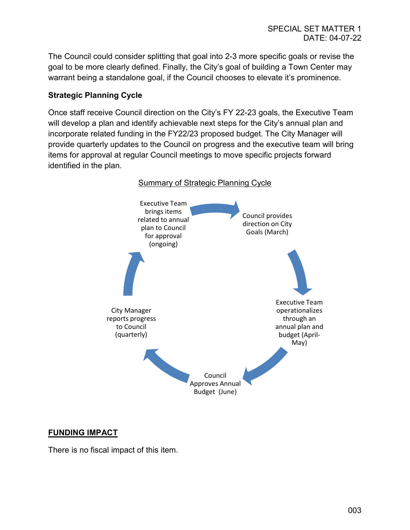The Council could consider splitting that goal into 2-3 more specific goals or revise the goal to be more clearly defined. Finally, the City's goal of building a Town Center may warrant being a standalone goal, if the Council chooses to elevate it's prominence.

### **Strategic Planning Cycle**

Once staff receive Council direction on the City's FY 22-23 goals, the Executive Team will develop a plan and identify achievable next steps for the City's annual plan and incorporate related funding in the FY22/23 proposed budget. The City Manager will provide quarterly updates to the Council on progress and the executive team will bring items for approval at regular Council meetings to move specific projects forward identified in the plan.



### **FUNDING IMPACT**

There is no fiscal impact of this item.